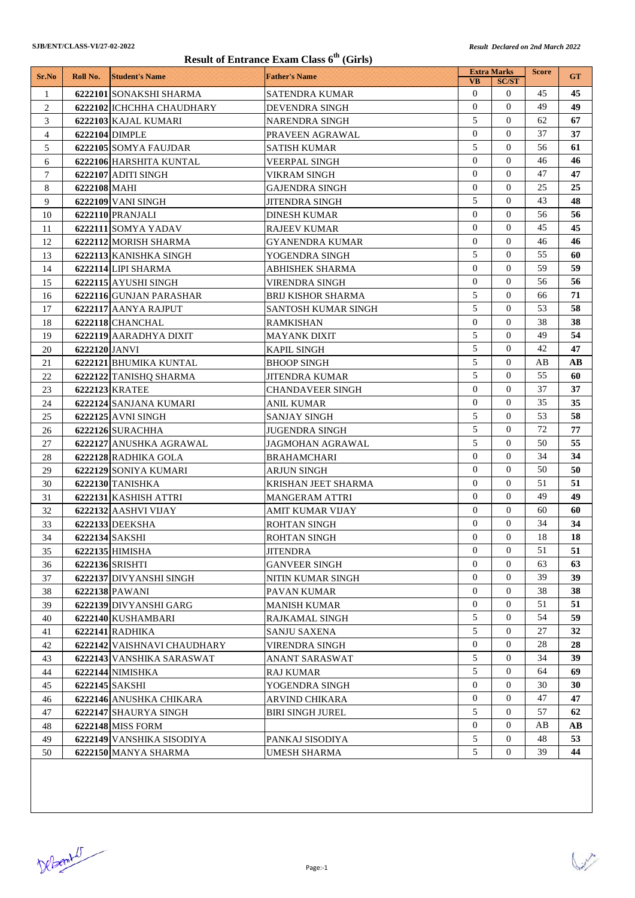## **Result of Entrance Exam Class 6th (Girls)**

| <b>VB</b><br><b>SC/ST</b><br>$\Omega$<br>$\mathbf{0}$<br>45<br>$\mathbf{1}$<br>6222101 SONAKSHI SHARMA<br>SATENDRA KUMAR<br>$\Omega$<br>$\Omega$<br>49<br>$\overline{c}$<br>6222102 ICHCHHA CHAUDHARY<br>DEVENDRA SINGH<br>5<br>$\Omega$<br>3<br><b>NARENDRA SINGH</b><br>62<br>6222103 KAJAL KUMARI<br>$\Omega$<br>$\Omega$<br>37<br>4<br>6222104 DIMPLE<br>PRAVEEN AGRAWAL<br>5<br>$\Omega$<br>56<br>61<br>5<br>6222105 SOMYA FAUJDAR<br>SATISH KUMAR<br>$\Omega$<br>$\Omega$<br>46<br>6<br>6222106 HARSHITA KUNTAL<br>VEERPAL SINGH<br>$\Omega$<br>$\Omega$<br>47<br>$\tau$<br>6222107 ADITI SINGH<br>VIKRAM SINGH<br>$\overline{0}$<br>$\Omega$<br>25<br>8<br>6222108 MAHI<br>GAJENDRA SINGH<br>5<br>$\Omega$<br>43<br>9<br>6222109 VANI SINGH<br><b>JITENDRA SINGH</b><br>$\Omega$<br>$\Omega$<br>56<br>10<br>6222110 PRANJALI<br>DINESH KUMAR<br>$\overline{0}$<br>$\Omega$<br>45<br>6222111 SOMYA YADAV<br><b>RAJEEV KUMAR</b><br>11<br>$\overline{0}$<br>$\Omega$<br>46<br>6222112 MORISH SHARMA<br>12<br>GYANENDRA KUMAR<br>5<br>$\mathbf{0}$<br>55<br>13<br>6222113 KANISHKA SINGH<br>YOGENDRA SINGH<br>$\Omega$<br>$\Omega$<br>59<br>14<br>6222114 LIPI SHARMA<br>ABHISHEK SHARMA<br>$\overline{0}$<br>$\Omega$<br>56<br>6222115 AYUSHI SINGH<br>15<br>VIRENDRA SINGH<br>5<br>$\Omega$<br>66<br>16<br>6222116 GUNJAN PARASHAR<br>BRIJ KISHOR SHARMA<br>5<br>$\Omega$<br>53<br>6222117 AANYA RAJPUT<br>17<br>SANTOSH KUMAR SINGH<br>$\overline{0}$<br>$\mathbf{0}$<br>38<br>6222118 CHANCHAL<br>18<br><b>RAMKISHAN</b><br>5<br>$\Omega$<br>49<br>6222119 AARADHYA DIXIT<br>19<br><b>MAYANK DIXIT</b><br>5<br>$\Omega$<br>42<br>6222120 JANVI<br>20<br><b>KAPIL SINGH</b><br>5<br>$\Omega$<br>AB<br>21<br>6222121 BHUMIKA KUNTAL<br><b>BHOOP SINGH</b><br>5<br>$\Omega$<br>55<br>22<br>6222122 TANISHQ SHARMA<br>JITENDRA KUMAR<br>$\overline{0}$<br>$\Omega$<br>37<br>23<br>6222123 KRATEE<br><b>CHANDAVEER SINGH</b><br>$\overline{0}$<br>$\Omega$<br>35<br>35<br>24<br>6222124 SANJANA KUMARI<br>ANIL KUMAR<br>5<br>$\Omega$<br>53<br>25<br>6222125 AVNI SINGH<br>SANJAY SINGH<br>5<br>$\mathbf{0}$<br>72<br>26<br>6222126 SURACHHA<br>JUGENDRA SINGH<br>5<br>$\Omega$<br>50<br>6222127 ANUSHKA AGRAWAL<br>27<br>JAGMOHAN AGRAWAL<br>$\overline{0}$<br>$\mathbf{0}$<br>34<br>6222128 RADHIKA GOLA<br>28<br>BRAHAMCHARI<br>$\Omega$<br>$\Omega$<br>50<br>29<br>6222129 SONIYA KUMARI<br>ARJUN SINGH<br>$\overline{0}$<br>$\Omega$<br>51<br>51<br>30<br>6222130 TANISHKA<br>KRISHAN JEET SHARMA<br>$\overline{0}$<br>$\Omega$<br>49<br>6222131 KASHISH ATTRI<br>31<br><b>MANGERAM ATTRI</b><br>$\Omega$<br>$\Omega$<br>32<br>6222132 AASHVI VIJAY<br>60<br>AMIT KUMAR VIJAY<br>$\mathbf{0}$<br>34<br>$\overline{0}$<br>33<br>6222133 DEEKSHA<br>ROHTAN SINGH<br>$\boldsymbol{0}$<br>$\boldsymbol{0}$<br>$18\,$<br>34<br>6222134 SAKSHI<br>ROHTAN SINGH<br>$\Omega$<br>$\overline{0}$<br>51<br>51<br>35<br>$6222135$ HIMISHA<br>JITENDRA<br>$\overline{0}$<br>$\mathbf{0}$<br>63<br>6222136 SRISHTI<br>36<br><b>GANVEER SINGH</b><br>$\Omega$<br>$\Omega$<br>39<br>6222137 DIVYANSHI SINGH<br>NITIN KUMAR SINGH<br>37<br>$\overline{0}$<br>$\mathbf{0}$<br>6222138 PAWANI<br>38<br>38<br>PAVAN KUMAR<br>$\overline{0}$<br>$\mathbf{0}$<br>51<br>51<br>39<br>6222139 DIVYANSHI GARG<br>MANISH KUMAR<br>5<br>$\mathbf{0}$<br>54<br>6222140 KUSHAMBARI<br>40<br>RAJKAMAL SINGH<br>5<br>$\mathbf{0}$<br>27<br>41<br><b>6222141 RADHIKA</b><br>SANJU SAXENA<br>$\overline{0}$<br>$\mathbf{0}$<br>28<br>42<br>6222142 VAISHNAVI CHAUDHARY<br>VIRENDRA SINGH<br>5<br>$\overline{0}$<br>34<br>43<br>6222143 VANSHIKA SARASWAT<br>ANANT SARASWAT<br>5<br>$\overline{0}$<br>64<br>44<br>6222144 NIMISHKA<br>RAJ KUMAR<br>$\overline{0}$<br>$\mathbf{0}$<br>30<br>45<br>6222145 SAKSHI<br>YOGENDRA SINGH<br>0<br>$\mathbf{0}$<br>47<br>6222146 ANUSHKA CHIKARA<br>46<br>ARVIND CHIKARA<br>5<br>57<br>$\Omega$<br>6222147 SHAURYA SINGH<br>BIRI SINGH JUREL<br>47<br>$\overline{0}$<br>$\mathbf{0}$<br><b>6222148 MISS FORM</b><br>AВ<br>48 |       |          |                       | Result of Entrance Exam Class 0 (Girls) | <b>Extra Marks</b> | <b>Score</b> |            |
|------------------------------------------------------------------------------------------------------------------------------------------------------------------------------------------------------------------------------------------------------------------------------------------------------------------------------------------------------------------------------------------------------------------------------------------------------------------------------------------------------------------------------------------------------------------------------------------------------------------------------------------------------------------------------------------------------------------------------------------------------------------------------------------------------------------------------------------------------------------------------------------------------------------------------------------------------------------------------------------------------------------------------------------------------------------------------------------------------------------------------------------------------------------------------------------------------------------------------------------------------------------------------------------------------------------------------------------------------------------------------------------------------------------------------------------------------------------------------------------------------------------------------------------------------------------------------------------------------------------------------------------------------------------------------------------------------------------------------------------------------------------------------------------------------------------------------------------------------------------------------------------------------------------------------------------------------------------------------------------------------------------------------------------------------------------------------------------------------------------------------------------------------------------------------------------------------------------------------------------------------------------------------------------------------------------------------------------------------------------------------------------------------------------------------------------------------------------------------------------------------------------------------------------------------------------------------------------------------------------------------------------------------------------------------------------------------------------------------------------------------------------------------------------------------------------------------------------------------------------------------------------------------------------------------------------------------------------------------------------------------------------------------------------------------------------------------------------------------------------------------------------------------------------------------------------------------------------------------------------------------------------------------------------------------------------------------------------------------------------------------------------------------------------------------------------------------------------------------------------------------------------------------------------------------------------------------------------------------------------------------------------------------------------------------------------------------------------------------------------------------------------------------------------------------------------------------------------------------------------------------------------------------------------------------------------------------------------------------------------------------------------------------------------|-------|----------|-----------------------|-----------------------------------------|--------------------|--------------|------------|
|                                                                                                                                                                                                                                                                                                                                                                                                                                                                                                                                                                                                                                                                                                                                                                                                                                                                                                                                                                                                                                                                                                                                                                                                                                                                                                                                                                                                                                                                                                                                                                                                                                                                                                                                                                                                                                                                                                                                                                                                                                                                                                                                                                                                                                                                                                                                                                                                                                                                                                                                                                                                                                                                                                                                                                                                                                                                                                                                                                                                                                                                                                                                                                                                                                                                                                                                                                                                                                                                                                                                                                                                                                                                                                                                                                                                                                                                                                                                                                                                                                          | Sr.No | Roll No. | <b>Student's Name</b> | <b>Father's Name</b>                    |                    |              | <b>GT</b>  |
|                                                                                                                                                                                                                                                                                                                                                                                                                                                                                                                                                                                                                                                                                                                                                                                                                                                                                                                                                                                                                                                                                                                                                                                                                                                                                                                                                                                                                                                                                                                                                                                                                                                                                                                                                                                                                                                                                                                                                                                                                                                                                                                                                                                                                                                                                                                                                                                                                                                                                                                                                                                                                                                                                                                                                                                                                                                                                                                                                                                                                                                                                                                                                                                                                                                                                                                                                                                                                                                                                                                                                                                                                                                                                                                                                                                                                                                                                                                                                                                                                                          |       |          |                       |                                         |                    |              | 45         |
|                                                                                                                                                                                                                                                                                                                                                                                                                                                                                                                                                                                                                                                                                                                                                                                                                                                                                                                                                                                                                                                                                                                                                                                                                                                                                                                                                                                                                                                                                                                                                                                                                                                                                                                                                                                                                                                                                                                                                                                                                                                                                                                                                                                                                                                                                                                                                                                                                                                                                                                                                                                                                                                                                                                                                                                                                                                                                                                                                                                                                                                                                                                                                                                                                                                                                                                                                                                                                                                                                                                                                                                                                                                                                                                                                                                                                                                                                                                                                                                                                                          |       |          |                       |                                         |                    |              | 49         |
|                                                                                                                                                                                                                                                                                                                                                                                                                                                                                                                                                                                                                                                                                                                                                                                                                                                                                                                                                                                                                                                                                                                                                                                                                                                                                                                                                                                                                                                                                                                                                                                                                                                                                                                                                                                                                                                                                                                                                                                                                                                                                                                                                                                                                                                                                                                                                                                                                                                                                                                                                                                                                                                                                                                                                                                                                                                                                                                                                                                                                                                                                                                                                                                                                                                                                                                                                                                                                                                                                                                                                                                                                                                                                                                                                                                                                                                                                                                                                                                                                                          |       |          |                       |                                         |                    |              | 67         |
|                                                                                                                                                                                                                                                                                                                                                                                                                                                                                                                                                                                                                                                                                                                                                                                                                                                                                                                                                                                                                                                                                                                                                                                                                                                                                                                                                                                                                                                                                                                                                                                                                                                                                                                                                                                                                                                                                                                                                                                                                                                                                                                                                                                                                                                                                                                                                                                                                                                                                                                                                                                                                                                                                                                                                                                                                                                                                                                                                                                                                                                                                                                                                                                                                                                                                                                                                                                                                                                                                                                                                                                                                                                                                                                                                                                                                                                                                                                                                                                                                                          |       |          |                       |                                         |                    |              | 37         |
|                                                                                                                                                                                                                                                                                                                                                                                                                                                                                                                                                                                                                                                                                                                                                                                                                                                                                                                                                                                                                                                                                                                                                                                                                                                                                                                                                                                                                                                                                                                                                                                                                                                                                                                                                                                                                                                                                                                                                                                                                                                                                                                                                                                                                                                                                                                                                                                                                                                                                                                                                                                                                                                                                                                                                                                                                                                                                                                                                                                                                                                                                                                                                                                                                                                                                                                                                                                                                                                                                                                                                                                                                                                                                                                                                                                                                                                                                                                                                                                                                                          |       |          |                       |                                         |                    |              |            |
|                                                                                                                                                                                                                                                                                                                                                                                                                                                                                                                                                                                                                                                                                                                                                                                                                                                                                                                                                                                                                                                                                                                                                                                                                                                                                                                                                                                                                                                                                                                                                                                                                                                                                                                                                                                                                                                                                                                                                                                                                                                                                                                                                                                                                                                                                                                                                                                                                                                                                                                                                                                                                                                                                                                                                                                                                                                                                                                                                                                                                                                                                                                                                                                                                                                                                                                                                                                                                                                                                                                                                                                                                                                                                                                                                                                                                                                                                                                                                                                                                                          |       |          |                       |                                         |                    |              | 46         |
|                                                                                                                                                                                                                                                                                                                                                                                                                                                                                                                                                                                                                                                                                                                                                                                                                                                                                                                                                                                                                                                                                                                                                                                                                                                                                                                                                                                                                                                                                                                                                                                                                                                                                                                                                                                                                                                                                                                                                                                                                                                                                                                                                                                                                                                                                                                                                                                                                                                                                                                                                                                                                                                                                                                                                                                                                                                                                                                                                                                                                                                                                                                                                                                                                                                                                                                                                                                                                                                                                                                                                                                                                                                                                                                                                                                                                                                                                                                                                                                                                                          |       |          |                       |                                         |                    |              | 47         |
|                                                                                                                                                                                                                                                                                                                                                                                                                                                                                                                                                                                                                                                                                                                                                                                                                                                                                                                                                                                                                                                                                                                                                                                                                                                                                                                                                                                                                                                                                                                                                                                                                                                                                                                                                                                                                                                                                                                                                                                                                                                                                                                                                                                                                                                                                                                                                                                                                                                                                                                                                                                                                                                                                                                                                                                                                                                                                                                                                                                                                                                                                                                                                                                                                                                                                                                                                                                                                                                                                                                                                                                                                                                                                                                                                                                                                                                                                                                                                                                                                                          |       |          |                       |                                         |                    |              | 25         |
|                                                                                                                                                                                                                                                                                                                                                                                                                                                                                                                                                                                                                                                                                                                                                                                                                                                                                                                                                                                                                                                                                                                                                                                                                                                                                                                                                                                                                                                                                                                                                                                                                                                                                                                                                                                                                                                                                                                                                                                                                                                                                                                                                                                                                                                                                                                                                                                                                                                                                                                                                                                                                                                                                                                                                                                                                                                                                                                                                                                                                                                                                                                                                                                                                                                                                                                                                                                                                                                                                                                                                                                                                                                                                                                                                                                                                                                                                                                                                                                                                                          |       |          |                       |                                         |                    |              | 48         |
|                                                                                                                                                                                                                                                                                                                                                                                                                                                                                                                                                                                                                                                                                                                                                                                                                                                                                                                                                                                                                                                                                                                                                                                                                                                                                                                                                                                                                                                                                                                                                                                                                                                                                                                                                                                                                                                                                                                                                                                                                                                                                                                                                                                                                                                                                                                                                                                                                                                                                                                                                                                                                                                                                                                                                                                                                                                                                                                                                                                                                                                                                                                                                                                                                                                                                                                                                                                                                                                                                                                                                                                                                                                                                                                                                                                                                                                                                                                                                                                                                                          |       |          |                       |                                         |                    |              | 56         |
|                                                                                                                                                                                                                                                                                                                                                                                                                                                                                                                                                                                                                                                                                                                                                                                                                                                                                                                                                                                                                                                                                                                                                                                                                                                                                                                                                                                                                                                                                                                                                                                                                                                                                                                                                                                                                                                                                                                                                                                                                                                                                                                                                                                                                                                                                                                                                                                                                                                                                                                                                                                                                                                                                                                                                                                                                                                                                                                                                                                                                                                                                                                                                                                                                                                                                                                                                                                                                                                                                                                                                                                                                                                                                                                                                                                                                                                                                                                                                                                                                                          |       |          |                       |                                         |                    |              | 45         |
|                                                                                                                                                                                                                                                                                                                                                                                                                                                                                                                                                                                                                                                                                                                                                                                                                                                                                                                                                                                                                                                                                                                                                                                                                                                                                                                                                                                                                                                                                                                                                                                                                                                                                                                                                                                                                                                                                                                                                                                                                                                                                                                                                                                                                                                                                                                                                                                                                                                                                                                                                                                                                                                                                                                                                                                                                                                                                                                                                                                                                                                                                                                                                                                                                                                                                                                                                                                                                                                                                                                                                                                                                                                                                                                                                                                                                                                                                                                                                                                                                                          |       |          |                       |                                         |                    |              | 46         |
|                                                                                                                                                                                                                                                                                                                                                                                                                                                                                                                                                                                                                                                                                                                                                                                                                                                                                                                                                                                                                                                                                                                                                                                                                                                                                                                                                                                                                                                                                                                                                                                                                                                                                                                                                                                                                                                                                                                                                                                                                                                                                                                                                                                                                                                                                                                                                                                                                                                                                                                                                                                                                                                                                                                                                                                                                                                                                                                                                                                                                                                                                                                                                                                                                                                                                                                                                                                                                                                                                                                                                                                                                                                                                                                                                                                                                                                                                                                                                                                                                                          |       |          |                       |                                         |                    |              | 60         |
|                                                                                                                                                                                                                                                                                                                                                                                                                                                                                                                                                                                                                                                                                                                                                                                                                                                                                                                                                                                                                                                                                                                                                                                                                                                                                                                                                                                                                                                                                                                                                                                                                                                                                                                                                                                                                                                                                                                                                                                                                                                                                                                                                                                                                                                                                                                                                                                                                                                                                                                                                                                                                                                                                                                                                                                                                                                                                                                                                                                                                                                                                                                                                                                                                                                                                                                                                                                                                                                                                                                                                                                                                                                                                                                                                                                                                                                                                                                                                                                                                                          |       |          |                       |                                         |                    |              | 59         |
|                                                                                                                                                                                                                                                                                                                                                                                                                                                                                                                                                                                                                                                                                                                                                                                                                                                                                                                                                                                                                                                                                                                                                                                                                                                                                                                                                                                                                                                                                                                                                                                                                                                                                                                                                                                                                                                                                                                                                                                                                                                                                                                                                                                                                                                                                                                                                                                                                                                                                                                                                                                                                                                                                                                                                                                                                                                                                                                                                                                                                                                                                                                                                                                                                                                                                                                                                                                                                                                                                                                                                                                                                                                                                                                                                                                                                                                                                                                                                                                                                                          |       |          |                       |                                         |                    |              | 56         |
|                                                                                                                                                                                                                                                                                                                                                                                                                                                                                                                                                                                                                                                                                                                                                                                                                                                                                                                                                                                                                                                                                                                                                                                                                                                                                                                                                                                                                                                                                                                                                                                                                                                                                                                                                                                                                                                                                                                                                                                                                                                                                                                                                                                                                                                                                                                                                                                                                                                                                                                                                                                                                                                                                                                                                                                                                                                                                                                                                                                                                                                                                                                                                                                                                                                                                                                                                                                                                                                                                                                                                                                                                                                                                                                                                                                                                                                                                                                                                                                                                                          |       |          |                       |                                         |                    |              | 71         |
|                                                                                                                                                                                                                                                                                                                                                                                                                                                                                                                                                                                                                                                                                                                                                                                                                                                                                                                                                                                                                                                                                                                                                                                                                                                                                                                                                                                                                                                                                                                                                                                                                                                                                                                                                                                                                                                                                                                                                                                                                                                                                                                                                                                                                                                                                                                                                                                                                                                                                                                                                                                                                                                                                                                                                                                                                                                                                                                                                                                                                                                                                                                                                                                                                                                                                                                                                                                                                                                                                                                                                                                                                                                                                                                                                                                                                                                                                                                                                                                                                                          |       |          |                       |                                         |                    |              | 58         |
|                                                                                                                                                                                                                                                                                                                                                                                                                                                                                                                                                                                                                                                                                                                                                                                                                                                                                                                                                                                                                                                                                                                                                                                                                                                                                                                                                                                                                                                                                                                                                                                                                                                                                                                                                                                                                                                                                                                                                                                                                                                                                                                                                                                                                                                                                                                                                                                                                                                                                                                                                                                                                                                                                                                                                                                                                                                                                                                                                                                                                                                                                                                                                                                                                                                                                                                                                                                                                                                                                                                                                                                                                                                                                                                                                                                                                                                                                                                                                                                                                                          |       |          |                       |                                         |                    |              | 38         |
|                                                                                                                                                                                                                                                                                                                                                                                                                                                                                                                                                                                                                                                                                                                                                                                                                                                                                                                                                                                                                                                                                                                                                                                                                                                                                                                                                                                                                                                                                                                                                                                                                                                                                                                                                                                                                                                                                                                                                                                                                                                                                                                                                                                                                                                                                                                                                                                                                                                                                                                                                                                                                                                                                                                                                                                                                                                                                                                                                                                                                                                                                                                                                                                                                                                                                                                                                                                                                                                                                                                                                                                                                                                                                                                                                                                                                                                                                                                                                                                                                                          |       |          |                       |                                         |                    |              | 54         |
|                                                                                                                                                                                                                                                                                                                                                                                                                                                                                                                                                                                                                                                                                                                                                                                                                                                                                                                                                                                                                                                                                                                                                                                                                                                                                                                                                                                                                                                                                                                                                                                                                                                                                                                                                                                                                                                                                                                                                                                                                                                                                                                                                                                                                                                                                                                                                                                                                                                                                                                                                                                                                                                                                                                                                                                                                                                                                                                                                                                                                                                                                                                                                                                                                                                                                                                                                                                                                                                                                                                                                                                                                                                                                                                                                                                                                                                                                                                                                                                                                                          |       |          |                       |                                         |                    |              | 47         |
|                                                                                                                                                                                                                                                                                                                                                                                                                                                                                                                                                                                                                                                                                                                                                                                                                                                                                                                                                                                                                                                                                                                                                                                                                                                                                                                                                                                                                                                                                                                                                                                                                                                                                                                                                                                                                                                                                                                                                                                                                                                                                                                                                                                                                                                                                                                                                                                                                                                                                                                                                                                                                                                                                                                                                                                                                                                                                                                                                                                                                                                                                                                                                                                                                                                                                                                                                                                                                                                                                                                                                                                                                                                                                                                                                                                                                                                                                                                                                                                                                                          |       |          |                       |                                         |                    |              | AВ         |
|                                                                                                                                                                                                                                                                                                                                                                                                                                                                                                                                                                                                                                                                                                                                                                                                                                                                                                                                                                                                                                                                                                                                                                                                                                                                                                                                                                                                                                                                                                                                                                                                                                                                                                                                                                                                                                                                                                                                                                                                                                                                                                                                                                                                                                                                                                                                                                                                                                                                                                                                                                                                                                                                                                                                                                                                                                                                                                                                                                                                                                                                                                                                                                                                                                                                                                                                                                                                                                                                                                                                                                                                                                                                                                                                                                                                                                                                                                                                                                                                                                          |       |          |                       |                                         |                    |              | 60         |
|                                                                                                                                                                                                                                                                                                                                                                                                                                                                                                                                                                                                                                                                                                                                                                                                                                                                                                                                                                                                                                                                                                                                                                                                                                                                                                                                                                                                                                                                                                                                                                                                                                                                                                                                                                                                                                                                                                                                                                                                                                                                                                                                                                                                                                                                                                                                                                                                                                                                                                                                                                                                                                                                                                                                                                                                                                                                                                                                                                                                                                                                                                                                                                                                                                                                                                                                                                                                                                                                                                                                                                                                                                                                                                                                                                                                                                                                                                                                                                                                                                          |       |          |                       |                                         |                    |              | 37         |
|                                                                                                                                                                                                                                                                                                                                                                                                                                                                                                                                                                                                                                                                                                                                                                                                                                                                                                                                                                                                                                                                                                                                                                                                                                                                                                                                                                                                                                                                                                                                                                                                                                                                                                                                                                                                                                                                                                                                                                                                                                                                                                                                                                                                                                                                                                                                                                                                                                                                                                                                                                                                                                                                                                                                                                                                                                                                                                                                                                                                                                                                                                                                                                                                                                                                                                                                                                                                                                                                                                                                                                                                                                                                                                                                                                                                                                                                                                                                                                                                                                          |       |          |                       |                                         |                    |              |            |
|                                                                                                                                                                                                                                                                                                                                                                                                                                                                                                                                                                                                                                                                                                                                                                                                                                                                                                                                                                                                                                                                                                                                                                                                                                                                                                                                                                                                                                                                                                                                                                                                                                                                                                                                                                                                                                                                                                                                                                                                                                                                                                                                                                                                                                                                                                                                                                                                                                                                                                                                                                                                                                                                                                                                                                                                                                                                                                                                                                                                                                                                                                                                                                                                                                                                                                                                                                                                                                                                                                                                                                                                                                                                                                                                                                                                                                                                                                                                                                                                                                          |       |          |                       |                                         |                    |              | 58         |
|                                                                                                                                                                                                                                                                                                                                                                                                                                                                                                                                                                                                                                                                                                                                                                                                                                                                                                                                                                                                                                                                                                                                                                                                                                                                                                                                                                                                                                                                                                                                                                                                                                                                                                                                                                                                                                                                                                                                                                                                                                                                                                                                                                                                                                                                                                                                                                                                                                                                                                                                                                                                                                                                                                                                                                                                                                                                                                                                                                                                                                                                                                                                                                                                                                                                                                                                                                                                                                                                                                                                                                                                                                                                                                                                                                                                                                                                                                                                                                                                                                          |       |          |                       |                                         |                    |              | 77         |
|                                                                                                                                                                                                                                                                                                                                                                                                                                                                                                                                                                                                                                                                                                                                                                                                                                                                                                                                                                                                                                                                                                                                                                                                                                                                                                                                                                                                                                                                                                                                                                                                                                                                                                                                                                                                                                                                                                                                                                                                                                                                                                                                                                                                                                                                                                                                                                                                                                                                                                                                                                                                                                                                                                                                                                                                                                                                                                                                                                                                                                                                                                                                                                                                                                                                                                                                                                                                                                                                                                                                                                                                                                                                                                                                                                                                                                                                                                                                                                                                                                          |       |          |                       |                                         |                    |              | 55         |
|                                                                                                                                                                                                                                                                                                                                                                                                                                                                                                                                                                                                                                                                                                                                                                                                                                                                                                                                                                                                                                                                                                                                                                                                                                                                                                                                                                                                                                                                                                                                                                                                                                                                                                                                                                                                                                                                                                                                                                                                                                                                                                                                                                                                                                                                                                                                                                                                                                                                                                                                                                                                                                                                                                                                                                                                                                                                                                                                                                                                                                                                                                                                                                                                                                                                                                                                                                                                                                                                                                                                                                                                                                                                                                                                                                                                                                                                                                                                                                                                                                          |       |          |                       |                                         |                    |              | 34         |
|                                                                                                                                                                                                                                                                                                                                                                                                                                                                                                                                                                                                                                                                                                                                                                                                                                                                                                                                                                                                                                                                                                                                                                                                                                                                                                                                                                                                                                                                                                                                                                                                                                                                                                                                                                                                                                                                                                                                                                                                                                                                                                                                                                                                                                                                                                                                                                                                                                                                                                                                                                                                                                                                                                                                                                                                                                                                                                                                                                                                                                                                                                                                                                                                                                                                                                                                                                                                                                                                                                                                                                                                                                                                                                                                                                                                                                                                                                                                                                                                                                          |       |          |                       |                                         |                    |              | 50         |
|                                                                                                                                                                                                                                                                                                                                                                                                                                                                                                                                                                                                                                                                                                                                                                                                                                                                                                                                                                                                                                                                                                                                                                                                                                                                                                                                                                                                                                                                                                                                                                                                                                                                                                                                                                                                                                                                                                                                                                                                                                                                                                                                                                                                                                                                                                                                                                                                                                                                                                                                                                                                                                                                                                                                                                                                                                                                                                                                                                                                                                                                                                                                                                                                                                                                                                                                                                                                                                                                                                                                                                                                                                                                                                                                                                                                                                                                                                                                                                                                                                          |       |          |                       |                                         |                    |              |            |
|                                                                                                                                                                                                                                                                                                                                                                                                                                                                                                                                                                                                                                                                                                                                                                                                                                                                                                                                                                                                                                                                                                                                                                                                                                                                                                                                                                                                                                                                                                                                                                                                                                                                                                                                                                                                                                                                                                                                                                                                                                                                                                                                                                                                                                                                                                                                                                                                                                                                                                                                                                                                                                                                                                                                                                                                                                                                                                                                                                                                                                                                                                                                                                                                                                                                                                                                                                                                                                                                                                                                                                                                                                                                                                                                                                                                                                                                                                                                                                                                                                          |       |          |                       |                                         |                    |              | 49         |
|                                                                                                                                                                                                                                                                                                                                                                                                                                                                                                                                                                                                                                                                                                                                                                                                                                                                                                                                                                                                                                                                                                                                                                                                                                                                                                                                                                                                                                                                                                                                                                                                                                                                                                                                                                                                                                                                                                                                                                                                                                                                                                                                                                                                                                                                                                                                                                                                                                                                                                                                                                                                                                                                                                                                                                                                                                                                                                                                                                                                                                                                                                                                                                                                                                                                                                                                                                                                                                                                                                                                                                                                                                                                                                                                                                                                                                                                                                                                                                                                                                          |       |          |                       |                                         |                    |              | 60         |
|                                                                                                                                                                                                                                                                                                                                                                                                                                                                                                                                                                                                                                                                                                                                                                                                                                                                                                                                                                                                                                                                                                                                                                                                                                                                                                                                                                                                                                                                                                                                                                                                                                                                                                                                                                                                                                                                                                                                                                                                                                                                                                                                                                                                                                                                                                                                                                                                                                                                                                                                                                                                                                                                                                                                                                                                                                                                                                                                                                                                                                                                                                                                                                                                                                                                                                                                                                                                                                                                                                                                                                                                                                                                                                                                                                                                                                                                                                                                                                                                                                          |       |          |                       |                                         |                    |              | 34         |
|                                                                                                                                                                                                                                                                                                                                                                                                                                                                                                                                                                                                                                                                                                                                                                                                                                                                                                                                                                                                                                                                                                                                                                                                                                                                                                                                                                                                                                                                                                                                                                                                                                                                                                                                                                                                                                                                                                                                                                                                                                                                                                                                                                                                                                                                                                                                                                                                                                                                                                                                                                                                                                                                                                                                                                                                                                                                                                                                                                                                                                                                                                                                                                                                                                                                                                                                                                                                                                                                                                                                                                                                                                                                                                                                                                                                                                                                                                                                                                                                                                          |       |          |                       |                                         |                    |              | ${\bf 18}$ |
|                                                                                                                                                                                                                                                                                                                                                                                                                                                                                                                                                                                                                                                                                                                                                                                                                                                                                                                                                                                                                                                                                                                                                                                                                                                                                                                                                                                                                                                                                                                                                                                                                                                                                                                                                                                                                                                                                                                                                                                                                                                                                                                                                                                                                                                                                                                                                                                                                                                                                                                                                                                                                                                                                                                                                                                                                                                                                                                                                                                                                                                                                                                                                                                                                                                                                                                                                                                                                                                                                                                                                                                                                                                                                                                                                                                                                                                                                                                                                                                                                                          |       |          |                       |                                         |                    |              |            |
|                                                                                                                                                                                                                                                                                                                                                                                                                                                                                                                                                                                                                                                                                                                                                                                                                                                                                                                                                                                                                                                                                                                                                                                                                                                                                                                                                                                                                                                                                                                                                                                                                                                                                                                                                                                                                                                                                                                                                                                                                                                                                                                                                                                                                                                                                                                                                                                                                                                                                                                                                                                                                                                                                                                                                                                                                                                                                                                                                                                                                                                                                                                                                                                                                                                                                                                                                                                                                                                                                                                                                                                                                                                                                                                                                                                                                                                                                                                                                                                                                                          |       |          |                       |                                         |                    |              | 63         |
|                                                                                                                                                                                                                                                                                                                                                                                                                                                                                                                                                                                                                                                                                                                                                                                                                                                                                                                                                                                                                                                                                                                                                                                                                                                                                                                                                                                                                                                                                                                                                                                                                                                                                                                                                                                                                                                                                                                                                                                                                                                                                                                                                                                                                                                                                                                                                                                                                                                                                                                                                                                                                                                                                                                                                                                                                                                                                                                                                                                                                                                                                                                                                                                                                                                                                                                                                                                                                                                                                                                                                                                                                                                                                                                                                                                                                                                                                                                                                                                                                                          |       |          |                       |                                         |                    |              | 39         |
|                                                                                                                                                                                                                                                                                                                                                                                                                                                                                                                                                                                                                                                                                                                                                                                                                                                                                                                                                                                                                                                                                                                                                                                                                                                                                                                                                                                                                                                                                                                                                                                                                                                                                                                                                                                                                                                                                                                                                                                                                                                                                                                                                                                                                                                                                                                                                                                                                                                                                                                                                                                                                                                                                                                                                                                                                                                                                                                                                                                                                                                                                                                                                                                                                                                                                                                                                                                                                                                                                                                                                                                                                                                                                                                                                                                                                                                                                                                                                                                                                                          |       |          |                       |                                         |                    |              | 38         |
|                                                                                                                                                                                                                                                                                                                                                                                                                                                                                                                                                                                                                                                                                                                                                                                                                                                                                                                                                                                                                                                                                                                                                                                                                                                                                                                                                                                                                                                                                                                                                                                                                                                                                                                                                                                                                                                                                                                                                                                                                                                                                                                                                                                                                                                                                                                                                                                                                                                                                                                                                                                                                                                                                                                                                                                                                                                                                                                                                                                                                                                                                                                                                                                                                                                                                                                                                                                                                                                                                                                                                                                                                                                                                                                                                                                                                                                                                                                                                                                                                                          |       |          |                       |                                         |                    |              |            |
|                                                                                                                                                                                                                                                                                                                                                                                                                                                                                                                                                                                                                                                                                                                                                                                                                                                                                                                                                                                                                                                                                                                                                                                                                                                                                                                                                                                                                                                                                                                                                                                                                                                                                                                                                                                                                                                                                                                                                                                                                                                                                                                                                                                                                                                                                                                                                                                                                                                                                                                                                                                                                                                                                                                                                                                                                                                                                                                                                                                                                                                                                                                                                                                                                                                                                                                                                                                                                                                                                                                                                                                                                                                                                                                                                                                                                                                                                                                                                                                                                                          |       |          |                       |                                         |                    |              | 59         |
|                                                                                                                                                                                                                                                                                                                                                                                                                                                                                                                                                                                                                                                                                                                                                                                                                                                                                                                                                                                                                                                                                                                                                                                                                                                                                                                                                                                                                                                                                                                                                                                                                                                                                                                                                                                                                                                                                                                                                                                                                                                                                                                                                                                                                                                                                                                                                                                                                                                                                                                                                                                                                                                                                                                                                                                                                                                                                                                                                                                                                                                                                                                                                                                                                                                                                                                                                                                                                                                                                                                                                                                                                                                                                                                                                                                                                                                                                                                                                                                                                                          |       |          |                       |                                         |                    |              | 32         |
|                                                                                                                                                                                                                                                                                                                                                                                                                                                                                                                                                                                                                                                                                                                                                                                                                                                                                                                                                                                                                                                                                                                                                                                                                                                                                                                                                                                                                                                                                                                                                                                                                                                                                                                                                                                                                                                                                                                                                                                                                                                                                                                                                                                                                                                                                                                                                                                                                                                                                                                                                                                                                                                                                                                                                                                                                                                                                                                                                                                                                                                                                                                                                                                                                                                                                                                                                                                                                                                                                                                                                                                                                                                                                                                                                                                                                                                                                                                                                                                                                                          |       |          |                       |                                         |                    |              | 28         |
|                                                                                                                                                                                                                                                                                                                                                                                                                                                                                                                                                                                                                                                                                                                                                                                                                                                                                                                                                                                                                                                                                                                                                                                                                                                                                                                                                                                                                                                                                                                                                                                                                                                                                                                                                                                                                                                                                                                                                                                                                                                                                                                                                                                                                                                                                                                                                                                                                                                                                                                                                                                                                                                                                                                                                                                                                                                                                                                                                                                                                                                                                                                                                                                                                                                                                                                                                                                                                                                                                                                                                                                                                                                                                                                                                                                                                                                                                                                                                                                                                                          |       |          |                       |                                         |                    |              | 39         |
|                                                                                                                                                                                                                                                                                                                                                                                                                                                                                                                                                                                                                                                                                                                                                                                                                                                                                                                                                                                                                                                                                                                                                                                                                                                                                                                                                                                                                                                                                                                                                                                                                                                                                                                                                                                                                                                                                                                                                                                                                                                                                                                                                                                                                                                                                                                                                                                                                                                                                                                                                                                                                                                                                                                                                                                                                                                                                                                                                                                                                                                                                                                                                                                                                                                                                                                                                                                                                                                                                                                                                                                                                                                                                                                                                                                                                                                                                                                                                                                                                                          |       |          |                       |                                         |                    |              | 69         |
|                                                                                                                                                                                                                                                                                                                                                                                                                                                                                                                                                                                                                                                                                                                                                                                                                                                                                                                                                                                                                                                                                                                                                                                                                                                                                                                                                                                                                                                                                                                                                                                                                                                                                                                                                                                                                                                                                                                                                                                                                                                                                                                                                                                                                                                                                                                                                                                                                                                                                                                                                                                                                                                                                                                                                                                                                                                                                                                                                                                                                                                                                                                                                                                                                                                                                                                                                                                                                                                                                                                                                                                                                                                                                                                                                                                                                                                                                                                                                                                                                                          |       |          |                       |                                         |                    |              | 30         |
|                                                                                                                                                                                                                                                                                                                                                                                                                                                                                                                                                                                                                                                                                                                                                                                                                                                                                                                                                                                                                                                                                                                                                                                                                                                                                                                                                                                                                                                                                                                                                                                                                                                                                                                                                                                                                                                                                                                                                                                                                                                                                                                                                                                                                                                                                                                                                                                                                                                                                                                                                                                                                                                                                                                                                                                                                                                                                                                                                                                                                                                                                                                                                                                                                                                                                                                                                                                                                                                                                                                                                                                                                                                                                                                                                                                                                                                                                                                                                                                                                                          |       |          |                       |                                         |                    |              | 47         |
|                                                                                                                                                                                                                                                                                                                                                                                                                                                                                                                                                                                                                                                                                                                                                                                                                                                                                                                                                                                                                                                                                                                                                                                                                                                                                                                                                                                                                                                                                                                                                                                                                                                                                                                                                                                                                                                                                                                                                                                                                                                                                                                                                                                                                                                                                                                                                                                                                                                                                                                                                                                                                                                                                                                                                                                                                                                                                                                                                                                                                                                                                                                                                                                                                                                                                                                                                                                                                                                                                                                                                                                                                                                                                                                                                                                                                                                                                                                                                                                                                                          |       |          |                       |                                         |                    |              | 62         |
|                                                                                                                                                                                                                                                                                                                                                                                                                                                                                                                                                                                                                                                                                                                                                                                                                                                                                                                                                                                                                                                                                                                                                                                                                                                                                                                                                                                                                                                                                                                                                                                                                                                                                                                                                                                                                                                                                                                                                                                                                                                                                                                                                                                                                                                                                                                                                                                                                                                                                                                                                                                                                                                                                                                                                                                                                                                                                                                                                                                                                                                                                                                                                                                                                                                                                                                                                                                                                                                                                                                                                                                                                                                                                                                                                                                                                                                                                                                                                                                                                                          |       |          |                       |                                         |                    |              | AВ         |
| 5<br>$\overline{0}$<br>48<br>6222149 VANSHIKA SISODIYA<br>PANKAJ SISODIYA<br>49                                                                                                                                                                                                                                                                                                                                                                                                                                                                                                                                                                                                                                                                                                                                                                                                                                                                                                                                                                                                                                                                                                                                                                                                                                                                                                                                                                                                                                                                                                                                                                                                                                                                                                                                                                                                                                                                                                                                                                                                                                                                                                                                                                                                                                                                                                                                                                                                                                                                                                                                                                                                                                                                                                                                                                                                                                                                                                                                                                                                                                                                                                                                                                                                                                                                                                                                                                                                                                                                                                                                                                                                                                                                                                                                                                                                                                                                                                                                                          |       |          |                       |                                         |                    |              | 53         |
| 5<br>$\mathbf{0}$<br>39<br>50<br>6222150 MANYA SHARMA<br>UMESH SHARMA                                                                                                                                                                                                                                                                                                                                                                                                                                                                                                                                                                                                                                                                                                                                                                                                                                                                                                                                                                                                                                                                                                                                                                                                                                                                                                                                                                                                                                                                                                                                                                                                                                                                                                                                                                                                                                                                                                                                                                                                                                                                                                                                                                                                                                                                                                                                                                                                                                                                                                                                                                                                                                                                                                                                                                                                                                                                                                                                                                                                                                                                                                                                                                                                                                                                                                                                                                                                                                                                                                                                                                                                                                                                                                                                                                                                                                                                                                                                                                    |       |          |                       |                                         |                    |              | 44         |

DeBenit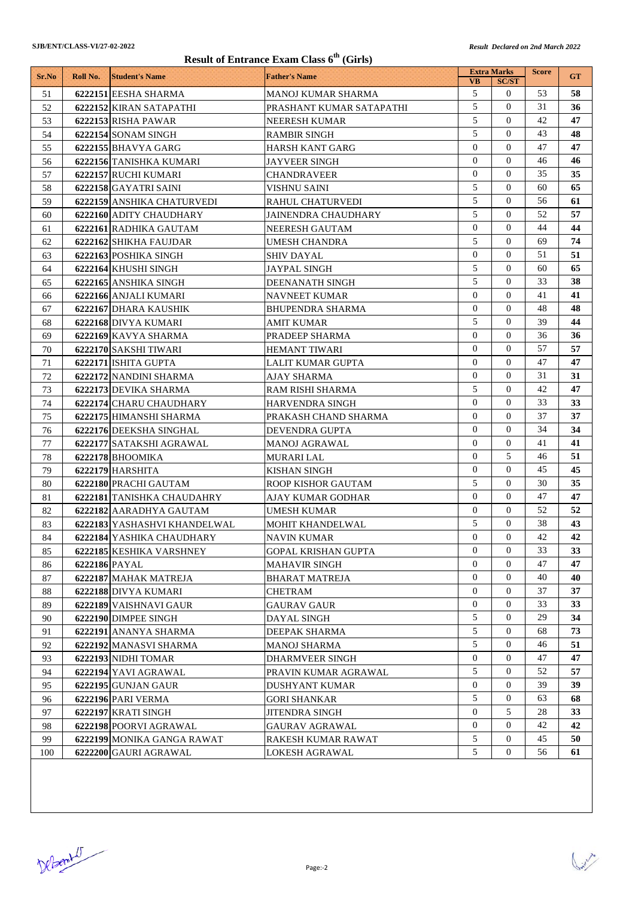| <b>Result of Entrance Exam Class 6th (Girls)</b> |               |                              |                            |                            |                            |              |           |  |
|--------------------------------------------------|---------------|------------------------------|----------------------------|----------------------------|----------------------------|--------------|-----------|--|
| Sr.No                                            | Roll No.      | <b>Student's Name</b>        | <b>Father's Name</b>       |                            | <b>Extra Marks</b>         | <b>Score</b> | <b>GT</b> |  |
|                                                  |               |                              |                            | <b>VB</b>                  | <b>SC/ST</b>               |              |           |  |
| 51                                               |               | 6222151 EESHA SHARMA         | MANOJ KUMAR SHARMA         | 5<br>5                     | $\mathbf{0}$<br>$\Omega$   | 53           | 58        |  |
| 52                                               |               | 6222152 KIRAN SATAPATHI      | PRASHANT KUMAR SATAPATHI   |                            |                            | 31           | 36        |  |
| 53                                               |               | 6222153 RISHA PAWAR          | <b>NEERESH KUMAR</b>       | 5<br>5                     | $\Omega$<br>$\Omega$       | 42           | 47        |  |
| 54                                               |               | 6222154 SONAM SINGH          | <b>RAMBIR SINGH</b>        | $\Omega$                   | $\Omega$                   | 43<br>47     | 48        |  |
| 55                                               |               | 6222155 BHAVYA GARG          | <b>HARSH KANT GARG</b>     |                            |                            |              | 47        |  |
| 56                                               |               | 6222156 TANISHKA KUMARI      | <b>JAYVEER SINGH</b>       | $\overline{0}$             | $\Omega$                   | 46           | 46        |  |
| 57                                               |               | 6222157 RUCHI KUMARI         | <b>CHANDRAVEER</b>         | $\overline{0}$             | $\Omega$                   | 35           | 35        |  |
| 58                                               |               | 6222158 GAYATRI SAINI        | VISHNU SAINI               | 5<br>5                     | $\Omega$<br>$\Omega$       | 60           | 65        |  |
| 59                                               |               | 6222159 ANSHIKA CHATURVEDI   | <b>RAHUL CHATURVEDI</b>    | 5                          | $\Omega$                   | 56<br>52     | 61<br>57  |  |
| 60                                               |               | 6222160 ADITY CHAUDHARY      | <b>JAINENDRA CHAUDHARY</b> | $\overline{0}$             | $\Omega$                   | 44           |           |  |
| 61                                               |               | 6222161 RADHIKA GAUTAM       | NEERESH GAUTAM             | 5                          | $\Omega$                   | 69           | 44<br>74  |  |
| 62                                               |               | 6222162 SHIKHA FAUJDAR       | <b>UMESH CHANDRA</b>       | $\overline{0}$             | $\Omega$                   |              |           |  |
| 63                                               |               | 6222163 POSHIKA SINGH        | SHIV DAYAL                 | 5                          | $\Omega$                   | 51<br>60     | 51<br>65  |  |
| 64                                               |               | 6222164 KHUSHI SINGH         | <b>JAYPAL SINGH</b>        | 5                          | $\Omega$                   |              |           |  |
| 65                                               |               | 6222165 ANSHIKA SINGH        | DEENANATH SINGH            | $\overline{0}$             | $\Omega$                   | 33<br>41     | 38        |  |
| 66                                               |               | 6222166 ANJALI KUMARI        | <b>NAVNEET KUMAR</b>       | $\overline{0}$             | $\Omega$                   |              | 41        |  |
| 67                                               |               | 6222167 DHARA KAUSHIK        | <b>BHUPENDRA SHARMA</b>    |                            |                            | 48           | 48        |  |
| 68                                               |               | 6222168 DIVYA KUMARI         | AMIT KUMAR                 | 5<br>$\overline{0}$        | $\overline{0}$<br>$\Omega$ | 39           | 44        |  |
| 69                                               |               | 6222169 KAVYA SHARMA         | PRADEEP SHARMA             |                            | $\Omega$                   | 36           | 36        |  |
| 70                                               |               | 6222170 SAKSHI TIWARI        | <b>HEMANT TIWARI</b>       | $\overline{0}$             |                            | 57           | 57        |  |
| 71                                               |               | 6222171 ISHITA GUPTA         | LALIT KUMAR GUPTA          | $\overline{0}$             | $\Omega$                   | 47           | 47        |  |
| 72                                               |               | 6222172 NANDINI SHARMA       | AJAY SHARMA                | $\Omega$                   | $\Omega$                   | 31           | 31        |  |
| 73                                               |               | 6222173 DEVIKA SHARMA        | RAM RISHI SHARMA           | 5<br>$\Omega$              | $\Omega$<br>$\Omega$       | 42           | 47        |  |
| 74                                               |               | 6222174 CHARU CHAUDHARY      | <b>HARVENDRA SINGH</b>     |                            |                            | 33           | 33        |  |
| 75                                               |               | 6222175 HIMANSHI SHARMA      | PRAKASH CHAND SHARMA       | $\Omega$                   | $\Omega$                   | 37           | 37        |  |
| 76                                               |               | 6222176 DEEKSHA SINGHAL      | DEVENDRA GUPTA             | $\overline{0}$<br>$\Omega$ | $\Omega$<br>$\Omega$       | 34           | 34        |  |
| 77                                               |               | 6222177 SATAKSHI AGRAWAL     | <b>MANOJ AGRAWAL</b>       |                            |                            | 41           | 41        |  |
| 78                                               |               | 6222178 BHOOMIKA             | <b>MURARI LAL</b>          | $\overline{0}$<br>$\Omega$ | 5<br>$\Omega$              | 46           | 51        |  |
| 79                                               |               | 6222179 HARSHITA             | KISHAN SINGH               |                            | $\Omega$                   | 45           | 45        |  |
| 80                                               |               | 6222180 PRACHI GAUTAM        | <b>ROOP KISHOR GAUTAM</b>  | 5<br>$\Omega$              | $\Omega$                   | 30           | 35        |  |
| 81                                               |               | 6222181 TANISHKA CHAUDAHRY   | AJAY KUMAR GODHAR          | $\Omega$                   | $\Omega$                   | 47<br>52     | 47        |  |
| 82                                               |               | 6222182 AARADHYA GAUTAM      | <b>UMESH KUMAR</b>         | 5                          | $\Omega$                   | 38           | 52<br>43  |  |
| 83                                               |               | 6222183 YASHASHVI KHANDELWAL | <b>MOHIT KHANDELWAL</b>    | $\overline{0}$             | $\mathbf{0}$               | 42           | 42        |  |
| 84                                               |               | 6222184 YASHIKA CHAUDHARY    | <b>NAVIN KUMAR</b>         | $\Omega$                   | $\mathbf{0}$               | 33           |           |  |
| 85                                               |               | 6222185 KESHIKA VARSHNEY     | GOPAL KRISHAN GUPTA        | $\overline{0}$             | $\mathbf{0}$               | 47           | 33<br>47  |  |
| 86<br>87                                         | 6222186 PAYAL |                              | <b>MAHAVIR SINGH</b>       | $\overline{0}$             | $\mathbf{0}$               | 40           | 40        |  |
|                                                  |               | 6222187 MAHAK MATREJA        | <b>BHARAT MATREJA</b>      | $\overline{0}$             | $\mathbf{0}$               | 37           | 37        |  |
| 88                                               |               | 6222188 DIVYA KUMARI         | <b>CHETRAM</b>             | $\overline{0}$             | $\mathbf{0}$               | 33           | 33        |  |
| 89                                               |               | 6222189 VAISHNAVI GAUR       | <b>GAURAV GAUR</b>         | 5                          | $\mathbf{0}$               | 29           | 34        |  |
| 90                                               |               | 6222190 DIMPEE SINGH         | <b>DAYAL SINGH</b>         | 5                          | $\mathbf{0}$               | 68           | 73        |  |
| 91                                               |               | 6222191 ANANYA SHARMA        | DEEPAK SHARMA              | 5                          | $\Omega$                   | 46           | 51        |  |
| 92                                               |               | 6222192 MANASVI SHARMA       | <b>MANOJ SHARMA</b>        | $\overline{0}$             | $\mathbf{0}$               | 47           | 47        |  |
| 93                                               |               | 6222193 NIDHI TOMAR          | <b>DHARMVEER SINGH</b>     | 5                          | $\mathbf{0}$               | 52           | 57        |  |
| 94                                               |               | 6222194 YAVI AGRAWAL         | PRAVIN KUMAR AGRAWAL       | $\overline{0}$             | $\mathbf{0}$               | 39           |           |  |
| 95                                               |               | 6222195 GUNJAN GAUR          | <b>DUSHYANT KUMAR</b>      | 5                          | $\boldsymbol{0}$           |              | 39        |  |
| 96<br>97                                         |               | 6222196 PARI VERMA           | <b>GORI SHANKAR</b>        | $\overline{0}$             | 5                          | 63<br>28     | 68<br>33  |  |
|                                                  |               | 6222197 KRATI SINGH          | <b>JITENDRA SINGH</b>      | $\overline{0}$             | $\mathbf{0}$               | 42           | 42        |  |
| 98                                               |               | 6222198 POORVI AGRAWAL       | <b>GAURAV AGRAWAL</b>      | 5                          | $\mathbf{0}$               | 45           | 50        |  |
| 99                                               |               | 6222199 MONIKA GANGA RAWAT   | RAKESH KUMAR RAWAT         | 5                          | $\mathbf{0}$               |              |           |  |
| 100                                              |               | 6222200 GAURI AGRAWAL        | <b>LOKESH AGRAWAL</b>      |                            |                            | 56           | 61        |  |

DeBenit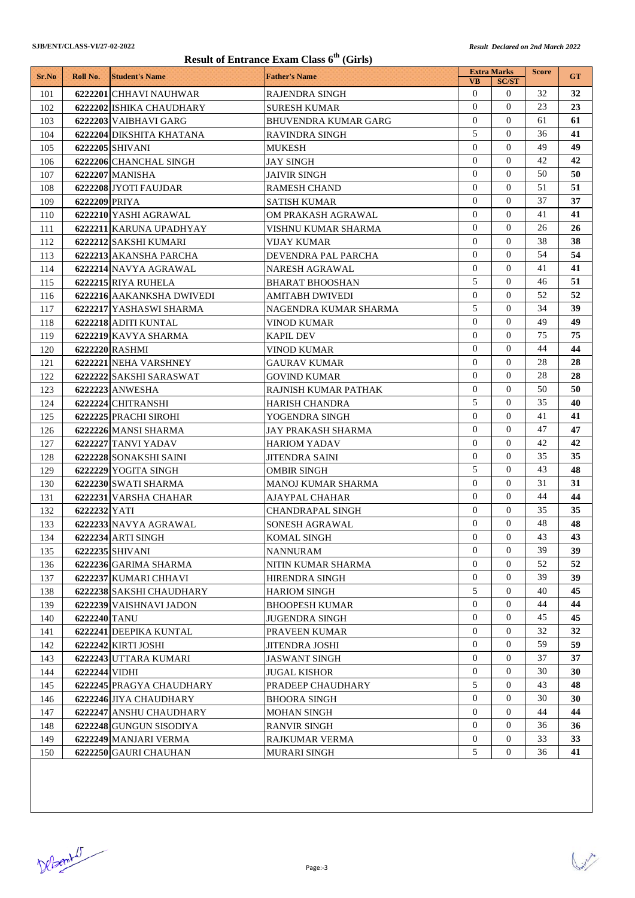| Result of Entrance Exam Class 6 <sup>th</sup> (Girls) |               |                           |                             |                                  |                              |              |           |  |
|-------------------------------------------------------|---------------|---------------------------|-----------------------------|----------------------------------|------------------------------|--------------|-----------|--|
| Sr.No                                                 | Roll No.      | <b>Student's Name</b>     | <b>Father's Name</b>        |                                  | <b>Extra Marks</b>           | <b>Score</b> | <b>GT</b> |  |
|                                                       |               |                           |                             | <b>VB</b><br>$\overline{0}$      | <b>SC/ST</b><br>$\mathbf{0}$ | 32           |           |  |
| 101                                                   |               | 6222201 CHHAVI NAUHWAR    | <b>RAJENDRA SINGH</b>       | $\Omega$                         | $\Omega$                     | 23           | 32<br>23  |  |
| 102                                                   |               | 6222202 ISHIKA CHAUDHARY  | <b>SURESH KUMAR</b>         | $\overline{0}$                   | $\Omega$                     |              |           |  |
| 103                                                   |               | 6222203 VAIBHAVI GARG     | <b>BHUVENDRA KUMAR GARG</b> | 5                                | $\Omega$                     | 61<br>36     | 61        |  |
| 104                                                   |               | 6222204 DIKSHITA KHATANA  | <b>RAVINDRA SINGH</b>       | $\Omega$                         | $\Omega$                     | 49           | 41<br>49  |  |
| 105                                                   |               | 6222205 SHIVANI           | MUKESH                      | $\overline{0}$                   | $\Omega$                     | 42           |           |  |
| 106                                                   |               | 6222206 CHANCHAL SINGH    | JAY SINGH                   | $\Omega$                         | $\Omega$                     | 50           | 42        |  |
| 107                                                   |               | 6222207 MANISHA           | <b>JAIVIR SINGH</b>         |                                  |                              |              | 50        |  |
| 108                                                   |               | 6222208 JYOTI FAUJDAR     | <b>RAMESH CHAND</b>         | $\overline{0}$<br>$\overline{0}$ | $\Omega$<br>$\Omega$         | 51<br>37     | 51        |  |
| 109                                                   | 6222209 PRIYA |                           | <b>SATISH KUMAR</b>         | $\overline{0}$                   | $\Omega$                     |              | 37<br>41  |  |
| 110                                                   |               | 6222210 YASHI AGRAWAL     | OM PRAKASH AGRAWAL          | $\overline{0}$                   | $\Omega$                     | 41<br>26     |           |  |
| 111                                                   |               | 6222211 KARUNA UPADHYAY   | VISHNU KUMAR SHARMA         | $\Omega$                         | $\Omega$                     | 38           | 26        |  |
| 112                                                   |               | 6222212 SAKSHI KUMARI     | VIJAY KUMAR                 |                                  |                              |              | 38        |  |
| 113                                                   |               | 6222213 AKANSHA PARCHA    | DEVENDRA PAL PARCHA         | $\overline{0}$<br>$\Omega$       | $\Omega$<br>$\Omega$         | 54           | 54        |  |
| 114                                                   |               | 6222214 NAVYA AGRAWAL     | NARESH AGRAWAL              |                                  |                              | 41           | 41        |  |
| 115                                                   |               | 6222215 RIYA RUHELA       | <b>BHARAT BHOOSHAN</b>      | 5                                | $\Omega$                     | 46           | 51        |  |
| 116                                                   |               | 6222216 AAKANKSHA DWIVEDI | AMITABH DWIVEDI             | $\overline{0}$                   | $\Omega$                     | 52           | 52        |  |
| 117                                                   |               | 6222217 YASHASWI SHARMA   | NAGENDRA KUMAR SHARMA       | 5                                | $\Omega$                     | 34           | 39        |  |
| 118                                                   |               | 6222218 ADITI KUNTAL      | VINOD KUMAR                 | $\overline{0}$                   | $\mathbf{0}$                 | 49           | 49        |  |
| 119                                                   |               | 6222219 KAVYA SHARMA      | <b>KAPIL DEV</b>            | $\overline{0}$                   | $\Omega$                     | 75           | 75        |  |
| 120                                                   |               | 6222220 RASHMI            | VINOD KUMAR                 | $\overline{0}$                   | $\Omega$                     | 44           | 44        |  |
| 121                                                   |               | 6222221 NEHA VARSHNEY     | GAURAV KUMAR                | $\overline{0}$                   | $\mathbf{0}$                 | 28           | 28        |  |
| 122                                                   |               | 6222222 SAKSHI SARASWAT   | GOVIND KUMAR                | $\Omega$                         | $\Omega$                     | 28           | 28        |  |
| 123                                                   |               | 6222223 ANWESHA           | RAJNISH KUMAR PATHAK        | $\overline{0}$                   | $\Omega$                     | 50           | 50        |  |
| 124                                                   |               | 6222224 CHITRANSHI        | HARISH CHANDRA              | 5                                | $\Omega$                     | 35           | 40        |  |
| 125                                                   |               | 6222225 PRACHI SIROHI     | YOGENDRA SINGH              | $\Omega$                         | $\Omega$                     | 41           | 41        |  |
| 126                                                   |               | 6222226 MANSI SHARMA      | JAY PRAKASH SHARMA          | $\mathbf{0}$                     | $\Omega$                     | 47           | 47        |  |
| 127                                                   |               | 6222227 TANVI YADAV       | <b>HARIOM YADAV</b>         | $\Omega$                         | $\Omega$                     | 42           | 42        |  |
| 128                                                   |               | 6222228 SONAKSHI SAINI    | <b>JITENDRA SAINI</b>       | $\overline{0}$                   | $\Omega$                     | 35           | 35        |  |
| 129                                                   |               | 6222229 YOGITA SINGH      | <b>OMBIR SINGH</b>          | 5                                | $\Omega$                     | 43           | 48        |  |
| 130                                                   |               | 6222230 SWATI SHARMA      | MANOJ KUMAR SHARMA          | $\overline{0}$                   | $\Omega$                     | 31           | 31        |  |
| 131                                                   |               | 6222231 VARSHA CHAHAR     | AJAYPAL CHAHAR              | $\overline{0}$                   | $\Omega$                     | 44           | 44        |  |
| 132                                                   | 6222232 YATI  |                           | CHANDRAPAL SINGH            | $\Omega$                         | $\Omega$                     | 35           | 35        |  |
| 133                                                   |               | 6222233 NAVYA AGRAWAL     | SONESH AGRAWAL              | $\overline{0}$                   | $\overline{0}$               | 48           | 48        |  |
| 134                                                   |               | <b>6222234 ARTI SINGH</b> | <b>KOMAL SINGH</b>          | $\overline{0}$                   | $\overline{0}$               | 43           | 43        |  |
| 135                                                   |               | 6222235 SHIVANI           | <b>NANNURAM</b>             | $\overline{0}$                   | $\mathbf{0}$                 | 39           | 39        |  |
| 136                                                   |               | 6222236 GARIMA SHARMA     | NITIN KUMAR SHARMA          | $\mathbf{0}$                     | $\mathbf{0}$                 | 52           | 52        |  |
| 137                                                   |               | 6222237 KUMARI CHHAVI     | HIRENDRA SINGH              | $\overline{0}$                   | $\mathbf{0}$                 | 39           | 39        |  |
| 138                                                   |               | 6222238 SAKSHI CHAUDHARY  | <b>HARIOM SINGH</b>         | 5                                | $\overline{0}$               | 40           | 45        |  |
| 139                                                   |               | 6222239 VAISHNAVI JADON   | <b>BHOOPESH KUMAR</b>       | $\overline{0}$                   | $\mathbf{0}$                 | 44           | 44        |  |
| 140                                                   | 6222240 TANU  |                           | <b>JUGENDRA SINGH</b>       | $\overline{0}$                   | $\mathbf{0}$                 | 45           | 45        |  |
| 141                                                   |               | 6222241 DEEPIKA KUNTAL    | PRAVEEN KUMAR               | $\overline{0}$                   | 0                            | 32           | 32        |  |
| 142                                                   |               | 6222242 KIRTI JOSHI       | <b>JITENDRA JOSHI</b>       | $\overline{0}$                   | $\overline{0}$               | 59           | 59        |  |
| 143                                                   |               | 6222243 UTTARA KUMARI     | <b>JASWANT SINGH</b>        | $\overline{0}$                   | $\overline{0}$               | 37           | 37        |  |
| 144                                                   | 6222244 VIDHI |                           | JUGAL KISHOR                | $\overline{0}$                   | $\mathbf{0}$                 | 30           | 30        |  |
| 145                                                   |               | 6222245 PRAGYA CHAUDHARY  | PRADEEP CHAUDHARY           | 5                                | $\mathbf{0}$                 | 43           | 48        |  |
| 146                                                   |               | 6222246 JIYA CHAUDHARY    | <b>BHOORA SINGH</b>         | $\mathbf{0}$                     | $\mathbf{0}$                 | 30           | 30        |  |
| 147                                                   |               | 6222247 ANSHU CHAUDHARY   | <b>MOHAN SINGH</b>          | $\overline{0}$                   | $\mathbf{0}$                 | 44           | 44        |  |
| 148                                                   |               | 6222248 GUNGUN SISODIYA   | <b>RANVIR SINGH</b>         | $\overline{0}$                   | $\overline{0}$               | 36           | 36        |  |
| 149                                                   |               | 6222249 MANJARI VERMA     | <b>RAJKUMAR VERMA</b>       | $\overline{0}$                   | $\overline{0}$               | 33           | 33        |  |
| 150                                                   |               | 6222250 GAURI CHAUHAN     | <b>MURARI SINGH</b>         | 5                                | 0                            | 36           | 41        |  |

DeBenit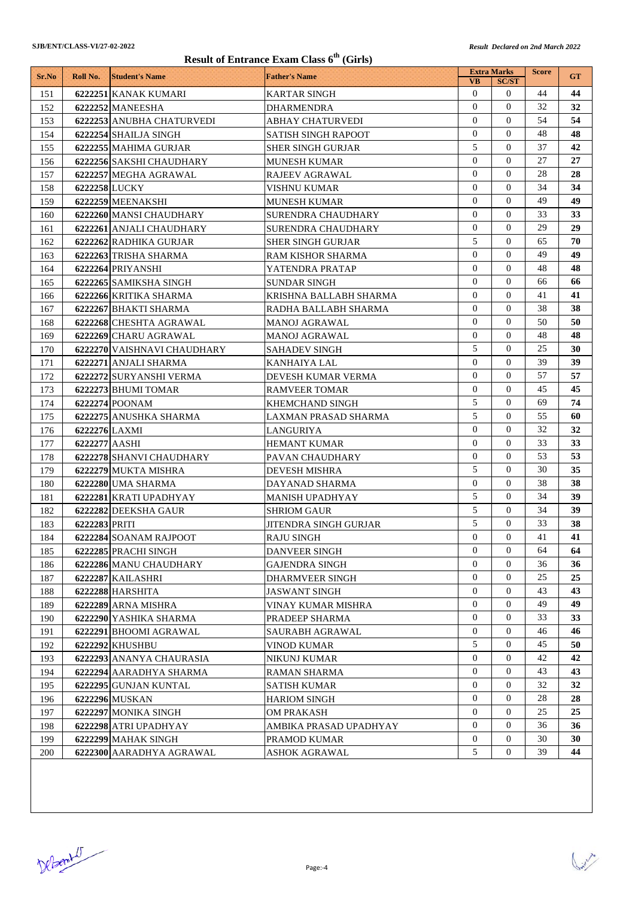## $\mathbf{C}$   $\mathbf{C}$   $\mathbf{C}$   $\mathbf{C}$   $\mathbf{C}$   $\mathbf{C}$   $\mathbf{C}$   $\mathbf{C}$   $\mathbf{C}$   $\mathbf{C}$   $\mathbf{C}$   $\mathbf{C}$   $\mathbf{C}$   $\mathbf{C}$   $\mathbf{C}$   $\mathbf{C}$   $\mathbf{C}$   $\mathbf{C}$   $\mathbf{C}$   $\mathbf{C}$   $\mathbf{C}$   $\mathbf{C}$   $\mathbf{C}$   $\mathbf{C}$   $\mathbf{$

| <b>SJB/ENT/CLASS-VI/27-02-2022</b><br>Result of Entrance Exam Class 6 <sup>th</sup> (Girls) |               |                                             |                                          |                  | <b>Result Declared on 2nd March 2022</b> |              |           |  |
|---------------------------------------------------------------------------------------------|---------------|---------------------------------------------|------------------------------------------|------------------|------------------------------------------|--------------|-----------|--|
|                                                                                             |               |                                             |                                          |                  | <b>Extra Marks</b>                       | <b>Score</b> |           |  |
| Sr.No                                                                                       | Roll No.      | <b>Student's Name</b>                       | <b>Father's Name</b>                     | <b>VB</b>        | <b>SC/ST</b>                             |              | <b>GT</b> |  |
| 151                                                                                         |               | 6222251 KANAK KUMARI                        | <b>KARTAR SINGH</b>                      | $\theta$         | $\mathbf{0}$                             | 44           | 44        |  |
| 152                                                                                         |               | 6222252 MANEESHA                            | <b>DHARMENDRA</b>                        | $\mathbf{0}$     | $\Omega$                                 | 32           | 32        |  |
| 153                                                                                         |               | 6222253 ANUBHA CHATURVEDI                   | <b>ABHAY CHATURVEDI</b>                  | $\overline{0}$   | $\Omega$                                 | 54           | 54        |  |
| 154                                                                                         |               | 6222254 SHAILJA SINGH                       | <b>SATISH SINGH RAPOOT</b>               | $\overline{0}$   | $\Omega$                                 | 48           | 48        |  |
| 155                                                                                         |               | 6222255 MAHIMA GURJAR                       | <b>SHER SINGH GURJAR</b>                 | 5                | $\Omega$                                 | 37           | 42        |  |
| 156                                                                                         |               | 6222256 SAKSHI CHAUDHARY                    | <b>MUNESH KUMAR</b>                      | $\Omega$         | $\Omega$                                 | 27           | 27        |  |
| 157                                                                                         |               | 6222257 MEGHA AGRAWAL                       | <b>RAJEEV AGRAWAL</b>                    | $\overline{0}$   | $\Omega$                                 | 28           | 28        |  |
| 158                                                                                         | 6222258 LUCKY |                                             | VISHNU KUMAR                             | $\Omega$         | $\Omega$                                 | 34           | 34        |  |
| 159                                                                                         |               | 6222259 MEENAKSHI                           | <b>MUNESH KUMAR</b>                      | $\Omega$         | $\Omega$                                 | 49           | 49        |  |
| 160                                                                                         |               | 6222260 MANSI CHAUDHARY                     | <b>SURENDRA CHAUDHARY</b>                | $\mathbf{0}$     | $\Omega$                                 | 33           | 33        |  |
| 161                                                                                         |               | 6222261 ANJALI CHAUDHARY                    | <b>SURENDRA CHAUDHARY</b>                | $\overline{0}$   | $\Omega$                                 | 29           | 29        |  |
| 162                                                                                         |               | 6222262 RADHIKA GURJAR                      | <b>SHER SINGH GURJAR</b>                 | 5                | $\Omega$                                 | 65           | 70        |  |
| 163                                                                                         |               | 6222263 TRISHA SHARMA                       | RAM KISHOR SHARMA                        | $\overline{0}$   | $\Omega$                                 | 49           | 49        |  |
| 164                                                                                         |               | 6222264 PRIYANSHI                           | YATENDRA PRATAP                          | $\overline{0}$   | $\Omega$                                 | 48           | 48        |  |
| 165                                                                                         |               | 6222265 SAMIKSHA SINGH                      | <b>SUNDAR SINGH</b>                      | $\overline{0}$   | $\Omega$                                 | 66           | 66        |  |
| 166                                                                                         |               | 6222266 KRITIKA SHARMA                      | KRISHNA BALLABH SHARMA                   | $\Omega$         | $\Omega$                                 | 41           | 41        |  |
| 167                                                                                         |               | 6222267 BHAKTI SHARMA                       | RADHA BALLABH SHARMA                     | $\mathbf{0}$     | $\Omega$                                 | 38           | 38        |  |
| 168                                                                                         |               | 6222268 CHESHTA AGRAWAL                     | MANOJ AGRAWAL                            | $\Omega$         | $\Omega$                                 | 50           | 50        |  |
| 169                                                                                         |               | 6222269 CHARU AGRAWAL                       | <b>MANOJ AGRAWAL</b>                     | $\mathbf{0}$     | $\Omega$                                 | 48           | 48        |  |
| 170                                                                                         |               | 6222270 VAISHNAVI CHAUDHARY                 | <b>SAHADEV SINGH</b>                     | 5                | $\mathbf{0}$                             | 25           | 30        |  |
| 171                                                                                         |               | 6222271 ANJALI SHARMA                       | KANHAIYA LAL                             | $\mathbf{0}$     | $\Omega$                                 | 39           | 39        |  |
| 172                                                                                         |               | 6222272 SURYANSHI VERMA                     | DEVESH KUMAR VERMA                       | $\mathbf{0}$     | $\Omega$                                 | 57           | 57        |  |
| 173                                                                                         |               | 6222273 BHUMI TOMAR                         | <b>RAMVEER TOMAR</b>                     | $\overline{0}$   | $\Omega$                                 | 45           | 45        |  |
| 174                                                                                         |               | 6222274 POONAM                              | KHEMCHAND SINGH                          | 5                | $\Omega$                                 | 69           | 74        |  |
| 175                                                                                         |               | 6222275 ANUSHKA SHARMA                      | LAXMAN PRASAD SHARMA                     | 5                | $\theta$                                 | 55           | 60        |  |
| 176                                                                                         | 6222276 LAXMI |                                             | LANGURIYA                                | $\Omega$         | $\Omega$                                 | 32           | 32        |  |
| 177                                                                                         | 6222277 AASHI |                                             | <b>HEMANT KUMAR</b>                      | $\mathbf{0}$     | $\Omega$                                 | 33           | 33        |  |
| 178                                                                                         |               | 6222278 SHANVI CHAUDHARY                    | PAVAN CHAUDHARY                          | $\Omega$         | $\Omega$                                 | 53           | 53        |  |
| 179                                                                                         |               | 6222279 MUKTA MISHRA                        | <b>DEVESH MISHRA</b>                     | 5                | $\Omega$                                 | 30           | 35        |  |
| 180                                                                                         |               | 6222280 UMA SHARMA                          | DAYANAD SHARMA                           | $\theta$         | $\Omega$                                 | 38           | 38        |  |
| 181                                                                                         |               | 6222281 KRATI UPADHYAY                      | <b>MANISH UPADHYAY</b>                   | 5                | $\Omega$                                 | 34           | 39        |  |
| 182                                                                                         |               | 6222282 DEEKSHA GAUR                        | <b>SHRIOM GAUR</b>                       | 5                | $\Omega$                                 | 34           | 39        |  |
| 183                                                                                         | 6222283 PRITI |                                             | <b>JITENDRA SINGH GURJAR</b>             | 5                | $\overline{0}$                           | 33           | 38        |  |
| 184                                                                                         |               | 6222284 SOANAM RAJPOOT                      | <b>RAJU SINGH</b>                        | $\Omega$         | $\Omega$                                 | 41           | 41        |  |
| 185                                                                                         |               | 6222285 PRACHI SINGH                        | <b>DANVEER SINGH</b>                     | $\overline{0}$   | $\theta$                                 | 64           | 64        |  |
|                                                                                             |               |                                             |                                          | $\mathbf{0}$     | $\Omega$                                 | 36           | 36        |  |
| 186<br>187                                                                                  |               | 6222286 MANU CHAUDHARY<br>6222287 KAILASHRI | <b>GAJENDRA SINGH</b><br>DHARMVEER SINGH | $\mathbf{0}$     | $\Omega$                                 | 25           | 25        |  |
|                                                                                             |               |                                             |                                          | $\mathbf{0}$     | $\Omega$                                 | 43           | 43        |  |
| 188                                                                                         |               | 6222288 HARSHITA                            | <b>JASWANT SINGH</b>                     | $\overline{0}$   | $\Omega$                                 | 49           | 49        |  |
| 189                                                                                         |               | 6222289 ARNA MISHRA                         | VINAY KUMAR MISHRA                       | $\theta$         | $\overline{0}$                           |              |           |  |
| 190                                                                                         |               | 6222290 YASHIKA SHARMA                      | PRADEEP SHARMA                           |                  |                                          | 33           | 33        |  |
| 191                                                                                         |               | 6222291 BHOOMI AGRAWAL                      | SAURABH AGRAWAL                          | $\overline{0}$   | $\mathbf{0}$                             | 46           | 46        |  |
| 192                                                                                         |               | 6222292 KHUSHBU                             | <b>VINOD KUMAR</b>                       | 5                | $\theta$                                 | 45           | 50        |  |
| 193                                                                                         |               | 6222293 ANANYA CHAURASIA                    | NIKUNJ KUMAR                             | $\overline{0}$   | $\theta$                                 | 42           | 42        |  |
| 194                                                                                         |               | 6222294 AARADHYA SHARMA                     | <b>RAMAN SHARMA</b>                      | $\overline{0}$   | $\overline{0}$                           | 43           | 43        |  |
| 195                                                                                         |               | 6222295 GUNJAN KUNTAL                       | <b>SATISH KUMAR</b>                      | $\overline{0}$   | $\overline{0}$                           | 32           | 32        |  |
| 196                                                                                         |               | 6222296 MUSKAN                              | <b>HARIOM SINGH</b>                      | $\mathbf{0}$     | $\Omega$                                 | 28           | 28        |  |
| 197                                                                                         |               | 6222297 MONIKA SINGH                        | <b>OM PRAKASH</b>                        | $\mathbf{0}$     | $\theta$                                 | 25           | 25        |  |
| 198                                                                                         |               | 6222298 ATRI UPADHYAY                       | AMBIKA PRASAD UPADHYAY                   | $\mathbf{0}$     | $\overline{0}$                           | 36           | 36        |  |
| 199                                                                                         |               | 6222299 MAHAK SINGH                         | PRAMOD KUMAR                             | $\boldsymbol{0}$ | $\mathbf{0}$                             | 30           | 30        |  |
| 200                                                                                         |               | 6222300 AARADHYA AGRAWAL                    | <b>ASHOK AGRAWAL</b>                     | 5                | 0                                        | 39           | 44        |  |

DeBember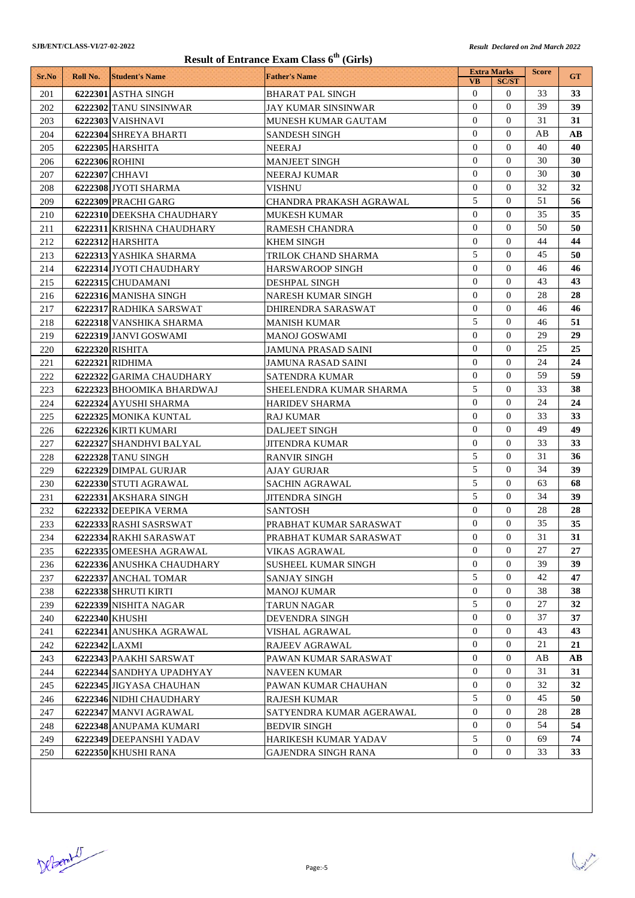| Result of Entrance Exam Class 6 <sup>th</sup> (Girls) |                |                                               |                                                |                             |                                |              |           |  |
|-------------------------------------------------------|----------------|-----------------------------------------------|------------------------------------------------|-----------------------------|--------------------------------|--------------|-----------|--|
| Sr.No                                                 | Roll No.       | <b>Student's Name</b>                         | <b>Father's Name</b>                           |                             | <b>Extra Marks</b>             | <b>Score</b> | <b>GT</b> |  |
|                                                       |                |                                               |                                                | <b>VB</b><br>$\overline{0}$ | <b>SC/ST</b><br>$\overline{0}$ | 33           | 33        |  |
| 201<br>202                                            |                | 6222301 ASTHA SINGH<br>6222302 TANU SINSINWAR | <b>BHARAT PAL SINGH</b><br>JAY KUMAR SINSINWAR | $\Omega$                    | $\Omega$                       | 39           | 39        |  |
| 203                                                   |                | 6222303 VAISHNAVI                             | MUNESH KUMAR GAUTAM                            | $\overline{0}$              | $\Omega$                       | 31           | 31        |  |
| 204                                                   |                | 6222304 SHREYA BHARTI                         | <b>SANDESH SINGH</b>                           | $\Omega$                    | $\Omega$                       | AB           | AВ        |  |
| 205                                                   |                | 6222305 HARSHITA                              | <b>NEERAJ</b>                                  | $\Omega$                    | $\Omega$                       | 40           | 40        |  |
| 206                                                   | 6222306 ROHINI |                                               | <b>MANJEET SINGH</b>                           | $\overline{0}$              | $\Omega$                       | 30           | 30        |  |
| 207                                                   |                | 6222307 CHHAVI                                | NEERAJ KUMAR                                   | $\Omega$                    | $\Omega$                       | 30           | 30        |  |
| 208                                                   |                | 6222308 JYOTI SHARMA                          | VISHNU                                         | $\overline{0}$              | $\Omega$                       | 32           | 32        |  |
| 209                                                   |                | 6222309 PRACHI GARG                           | CHANDRA PRAKASH AGRAWAL                        | 5                           | $\Omega$                       | 51           | 56        |  |
| 210                                                   |                | 6222310 DEEKSHA CHAUDHARY                     | MUKESH KUMAR                                   | $\overline{0}$              | $\Omega$                       | 35           | 35        |  |
| 211                                                   |                | 6222311 KRISHNA CHAUDHARY                     | RAMESH CHANDRA                                 | $\overline{0}$              | $\Omega$                       | 50           | 50        |  |
| 212                                                   |                | 6222312 HARSHITA                              | <b>KHEM SINGH</b>                              | $\Omega$                    | $\Omega$                       | 44           | 44        |  |
| 213                                                   |                | 6222313 YASHIKA SHARMA                        | TRILOK CHAND SHARMA                            | 5                           | $\Omega$                       | 45           | 50        |  |
| 214                                                   |                | 6222314 JYOTI CHAUDHARY                       | HARSWAROOP SINGH                               | $\Omega$                    | $\Omega$                       | 46           | 46        |  |
| 215                                                   |                | 6222315 CHUDAMANI                             | DESHPAL SINGH                                  | $\Omega$                    | $\Omega$                       | 43           | 43        |  |
| 216                                                   |                | 6222316 MANISHA SINGH                         | <b>NARESH KUMAR SINGH</b>                      | $\mathbf{0}$                | $\mathbf{0}$                   | 28           | 28        |  |
| 217                                                   |                | 6222317 RADHIKA SARSWAT                       | DHIRENDRA SARASWAT                             | $\overline{0}$              | $\Omega$                       | 46           | 46        |  |
| 218                                                   |                | 6222318 VANSHIKA SHARMA                       | <b>MANISH KUMAR</b>                            | 5                           | $\mathbf{0}$                   | 46           | 51        |  |
| 219                                                   |                | 6222319 JANVI GOSWAMI                         | <b>MANOJ GOSWAMI</b>                           | $\overline{0}$              | $\Omega$                       | 29           | 29        |  |
| 220                                                   |                | 6222320 RISHITA                               | JAMUNA PRASAD SAINI                            | $\overline{0}$              | $\Omega$                       | 25           | 25        |  |
| 221                                                   |                | 6222321 RIDHIMA                               | JAMUNA RASAD SAINI                             | $\overline{0}$              | $\Omega$                       | 24           | 24        |  |
| 222                                                   |                | 6222322 GARIMA CHAUDHARY                      | SATENDRA KUMAR                                 | $\Omega$                    | $\Omega$                       | 59           | 59        |  |
| 223                                                   |                | 6222323 BHOOMIKA BHARDWAJ                     | SHEELENDRA KUMAR SHARMA                        | 5                           | $\Omega$                       | 33           | 38        |  |
| 224                                                   |                | 6222324 AYUSHI SHARMA                         | <b>HARIDEV SHARMA</b>                          | $\Omega$                    | $\Omega$                       | 24           | 24        |  |
| 225                                                   |                | 6222325 MONIKA KUNTAL                         | RAJ KUMAR                                      | $\Omega$                    | $\Omega$                       | 33           | 33        |  |
| 226                                                   |                | 6222326 KIRTI KUMARI                          | <b>DALJEET SINGH</b>                           | $\mathbf{0}$                | $\Omega$                       | 49           | 49        |  |
| 227                                                   |                | 6222327 SHANDHVI BALYAL                       | JITENDRA KUMAR                                 | $\Omega$                    | $\Omega$                       | 33           | 33        |  |
| 228                                                   |                | 6222328 TANU SINGH                            | <b>RANVIR SINGH</b>                            | 5                           | $\Omega$                       | 31           | 36        |  |
| 229                                                   |                | 6222329 DIMPAL GURJAR                         | <b>AJAY GURJAR</b>                             | 5                           | $\Omega$                       | 34           | 39        |  |
| 230                                                   |                | 6222330 STUTI AGRAWAL                         | <b>SACHIN AGRAWAL</b>                          | 5                           | $\Omega$                       | 63           | 68        |  |
| 231                                                   |                | 6222331 AKSHARA SINGH                         | <b>JITENDRA SINGH</b>                          | 5                           | $\Omega$                       | 34           | 39        |  |
| 232                                                   |                | 6222332 DEEPIKA VERMA                         | <b>SANTOSH</b>                                 | $\Omega$                    | $\Omega$                       | 28           | 28        |  |
| 233                                                   |                | 6222333 RASHI SASRSWAT                        | PRABHAT KUMAR SARASWAT                         | $\overline{0}$              | $\overline{0}$                 | 35           | 35        |  |
| 234                                                   |                | 6222334 RAKHI SARASWAT                        | PRABHAT KUMAR SARASWAT                         | $\overline{0}$              | $\overline{0}$                 | 31           | 31        |  |
| 235                                                   |                | 6222335 OMEESHA AGRAWAL                       | VIKAS AGRAWAL                                  | $\overline{0}$              | $\overline{0}$                 | 27           | 27        |  |
| 236                                                   |                | 6222336 ANUSHKA CHAUDHARY                     | <b>SUSHEEL KUMAR SINGH</b>                     | $\mathbf{0}$                | $\mathbf{0}$                   | 39           | 39        |  |
| 237                                                   |                | 6222337 ANCHAL TOMAR                          | <b>SANJAY SINGH</b>                            | 5                           | $\mathbf{0}$                   | 42           | 47        |  |
| 238                                                   |                | 6222338 SHRUTI KIRTI                          | <b>MANOJ KUMAR</b>                             | $\overline{0}$              | $\overline{0}$                 | 38           | 38        |  |
| 239                                                   |                | 6222339 NISHITA NAGAR                         | <b>TARUN NAGAR</b>                             | 5                           | $\mathbf{0}$                   | 27           | 32        |  |
| 240                                                   |                | 6222340 KHUSHI                                | <b>DEVENDRA SINGH</b>                          | $\overline{0}$              | $\mathbf{0}$                   | 37           | 37        |  |
| 241                                                   |                | 6222341 ANUSHKA AGRAWAL                       | VISHAL AGRAWAL                                 | $\overline{0}$              | 0                              | 43           | 43        |  |
| 242                                                   | 6222342 LAXMI  |                                               | <b>RAJEEV AGRAWAL</b>                          | $\overline{0}$              | $\mathbf{0}$                   | 21           | 21        |  |
| 243                                                   |                | 6222343 PAAKHI SARSWAT                        | PAWAN KUMAR SARASWAT                           | $\overline{0}$              | $\overline{0}$                 | AВ           | AВ        |  |
| 244                                                   |                | 6222344 SANDHYA UPADHYAY                      | <b>NAVEEN KUMAR</b>                            | $\overline{0}$              | $\mathbf{0}$                   | 31           | 31        |  |
| 245                                                   |                | 6222345 JIGYASA CHAUHAN                       | PAWAN KUMAR CHAUHAN                            | $\boldsymbol{0}$            | $\overline{0}$                 | 32           | 32        |  |
| 246                                                   |                | 6222346 NIDHI CHAUDHARY                       | <b>RAJESH KUMAR</b>                            | 5                           | $\mathbf{0}$                   | 45           | 50        |  |
| 247                                                   |                | 6222347 MANVI AGRAWAL                         | SATYENDRA KUMAR AGERAWAL                       | $\overline{0}$              | $\mathbf{0}$                   | 28           | 28        |  |
| 248                                                   |                | 6222348 ANUPAMA KUMARI                        | <b>BEDVIR SINGH</b>                            | $\overline{0}$              | $\overline{0}$                 | 54           | 54        |  |
| 249                                                   |                | 6222349 DEEPANSHI YADAV                       | HARIKESH KUMAR YADAV                           | 5                           | $\mathbf{0}$                   | 69           | 74        |  |
| 250                                                   |                | 6222350 KHUSHI RANA                           | <b>GAJENDRA SINGH RANA</b>                     | $\overline{0}$              | 0                              | 33           | 33        |  |

DeBenit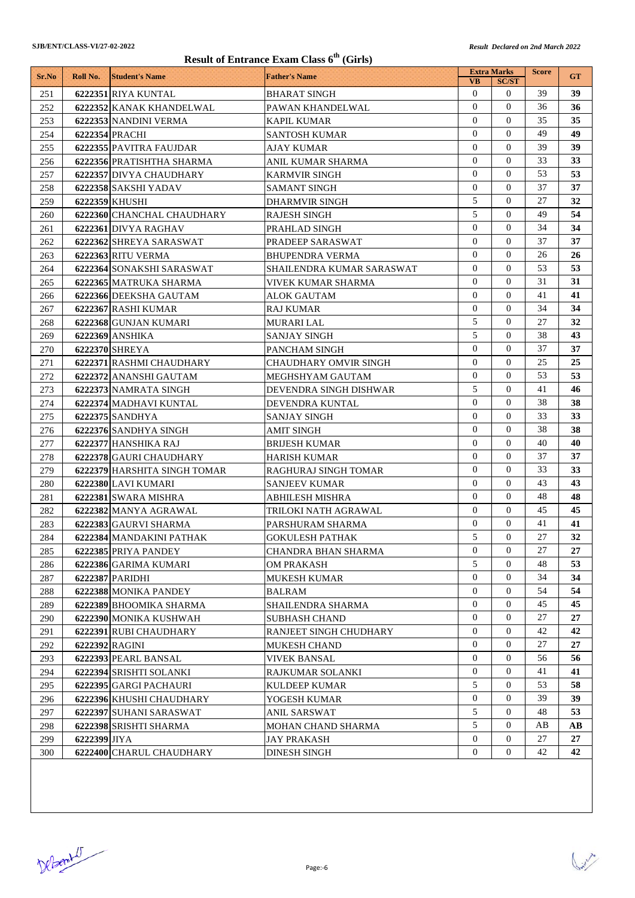| Result of Entrance Exam Class 6 <sup>th</sup> (Girls) |              |                              |                                          |                                  |                              |              |           |  |
|-------------------------------------------------------|--------------|------------------------------|------------------------------------------|----------------------------------|------------------------------|--------------|-----------|--|
| Sr.No                                                 | Roll No.     | <b>Student's Name</b>        | <b>Father's Name</b>                     | <b>Extra Marks</b>               |                              | <b>Score</b> | <b>GT</b> |  |
| 251                                                   |              | 6222351 RIYA KUNTAL          | <b>BHARAT SINGH</b>                      | <b>VB</b><br>$\mathbf{0}$        | <b>SC/ST</b><br>$\mathbf{0}$ | 39           | 39        |  |
| 252                                                   |              | 6222352 KANAK KHANDELWAL     | PAWAN KHANDELWAL                         | $\Omega$                         | $\Omega$                     | 36           | 36        |  |
| 253                                                   |              | 6222353 NANDINI VERMA        | <b>KAPIL KUMAR</b>                       | $\mathbf{0}$                     | $\Omega$                     | 35           | 35        |  |
| 254                                                   |              | 6222354 PRACHI               | <b>SANTOSH KUMAR</b>                     | $\Omega$                         | $\Omega$                     | 49           | 49        |  |
| 255                                                   |              | 6222355 PAVITRA FAUJDAR      | AJAY KUMAR                               | $\Omega$                         | $\Omega$                     | 39           | 39        |  |
| 256                                                   |              | 6222356 PRATISHTHA SHARMA    | ANIL KUMAR SHARMA                        | $\mathbf{0}$                     | $\Omega$                     | 33           | 33        |  |
| 257                                                   |              | 6222357 DIVYA CHAUDHARY      | <b>KARMVIR SINGH</b>                     | $\Omega$                         | $\Omega$                     | 53           | 53        |  |
| 258                                                   |              | 6222358 SAKSHI YADAV         | <b>SAMANT SINGH</b>                      | $\overline{0}$                   | $\Omega$                     | 37           | 37        |  |
| 259                                                   |              | 6222359 KHUSHI               | <b>DHARMVIR SINGH</b>                    | 5                                | $\Omega$                     | 27           | 32        |  |
| 260                                                   |              | 6222360 CHANCHAL CHAUDHARY   | <b>RAJESH SINGH</b>                      | 5                                | $\Omega$                     | 49           | 54        |  |
| 261                                                   |              | 6222361 DIVYA RAGHAV         | PRAHLAD SINGH                            | $\mathbf{0}$                     | $\Omega$                     | 34           | 34        |  |
| 262                                                   |              | 6222362 SHREYA SARASWAT      | PRADEEP SARASWAT                         | $\Omega$                         | $\Omega$                     | 37           | 37        |  |
| 263                                                   |              | 6222363 RITU VERMA           | <b>BHUPENDRA VERMA</b>                   | $\mathbf{0}$                     | $\Omega$                     | 26           | 26        |  |
| 264                                                   |              | 6222364 SONAKSHI SARASWAT    | SHAILENDRA KUMAR SARASWAT                | $\Omega$                         | $\Omega$                     | 53           | 53        |  |
| 265                                                   |              | 6222365 MATRUKA SHARMA       | VIVEK KUMAR SHARMA                       | $\mathbf{0}$                     | $\Omega$                     | 31           | 31        |  |
| 266                                                   |              | 6222366 DEEKSHA GAUTAM       | ALOK GAUTAM                              | $\mathbf{0}$                     | $\Omega$                     | 41           | 41        |  |
| 267                                                   |              | 6222367 RASHI KUMAR          | RAJ KUMAR                                | $\mathbf{0}$                     | $\Omega$                     | 34           | 34        |  |
| 268                                                   |              | 6222368 GUNJAN KUMARI        | MURARI LAL                               | 5                                | $\bf{0}$                     | 27           | 32        |  |
| 269                                                   |              | 6222369 ANSHIKA              | <b>SANJAY SINGH</b>                      | 5                                | $\Omega$                     | 38           | 43        |  |
| 270                                                   |              | 6222370 SHREYA               | PANCHAM SINGH                            | $\overline{0}$                   | $\Omega$                     | 37           | 37        |  |
| 271                                                   |              | 6222371 RASHMI CHAUDHARY     | CHAUDHARY OMVIR SINGH                    | $\mathbf{0}$                     | $\overline{0}$               | 25           | 25        |  |
| 272                                                   |              | 6222372 ANANSHI GAUTAM       | MEGHSHYAM GAUTAM                         | $\Omega$                         | $\Omega$                     | 53           | 53        |  |
| 273                                                   |              | 6222373 NAMRATA SINGH        | DEVENDRA SINGH DISHWAR                   | 5                                | $\Omega$                     | 41           | 46        |  |
| 274                                                   |              | 6222374 MADHAVI KUNTAL       | DEVENDRA KUNTAL                          | $\Omega$                         | $\Omega$                     | 38           | 38        |  |
| 275                                                   |              | 6222375 SANDHYA              | SANJAY SINGH                             | $\Omega$                         | $\Omega$                     | 33           | 33        |  |
| 276                                                   |              | 6222376 SANDHYA SINGH        | <b>AMIT SINGH</b>                        | $\mathbf{0}$                     | $\Omega$                     | 38           | 38        |  |
| 277                                                   |              | 6222377 HANSHIKA RAJ         | <b>BRIJESH KUMAR</b>                     | $\Omega$                         | $\Omega$                     | 40           | 40        |  |
| 278                                                   |              | 6222378 GAURI CHAUDHARY      | <b>HARISH KUMAR</b>                      | $\overline{0}$                   | $\Omega$                     | 37           | 37        |  |
| 279                                                   |              | 6222379 HARSHITA SINGH TOMAR | RAGHURAJ SINGH TOMAR                     | $\overline{0}$                   | $\Omega$                     | 33           | 33        |  |
| 280                                                   |              | 6222380 LAVI KUMARI          | <b>SANJEEV KUMAR</b>                     | $\overline{0}$                   | $\Omega$                     | 43           | 43        |  |
| 281                                                   |              | 6222381 SWARA MISHRA         | <b>ABHILESH MISHRA</b>                   | $\overline{0}$                   | $\Omega$                     | 48           | 48        |  |
| 282                                                   |              | 6222382 MANYA AGRAWAL        | TRILOKI NATH AGRAWAL                     | $\Omega$                         | $\Omega$                     | 45           | 45        |  |
| 283                                                   |              | 6222383 GAURVI SHARMA        | PARSHURAM SHARMA                         | $\overline{0}$                   | $\mathbf{0}$                 | 41           | 41        |  |
| 284                                                   |              | 6222384 MANDAKINI PATHAK     | <b>GOKULESH PATHAK</b>                   | 5                                | $\overline{0}$               | 27           | 32        |  |
| 285                                                   |              | 6222385 PRIYA PANDEY         | CHANDRA BHAN SHARMA                      | $\overline{0}$                   | $\mathbf{0}$                 | 27           | 27        |  |
| 286                                                   |              | 6222386 GARIMA KUMARI        | <b>OM PRAKASH</b>                        | 5                                | $\mathbf{0}$                 | 48           | 53        |  |
| 287                                                   |              | 6222387 PARIDHI              | <b>MUKESH KUMAR</b>                      | $\overline{0}$                   | $\mathbf{0}$                 | 34           | 34        |  |
| 288                                                   |              | 6222388 MONIKA PANDEY        | <b>BALRAM</b>                            | $\overline{0}$                   | $\overline{0}$               | 54           | 54        |  |
| 289                                                   |              | 6222389 BHOOMIKA SHARMA      | SHAILENDRA SHARMA                        | $\overline{0}$                   | $\mathbf{0}$                 | 45           | 45        |  |
| 290                                                   |              | 6222390 MONIKA KUSHWAH       | <b>SUBHASH CHAND</b>                     | $\overline{0}$                   | $\mathbf{0}$                 | 27           | 27        |  |
| 291                                                   |              | 6222391 RUBI CHAUDHARY       | RANJEET SINGH CHUDHARY                   | $\overline{0}$                   | $\overline{0}$               | 42           | 42        |  |
| 292                                                   |              | 6222392 RAGINI               | <b>MUKESH CHAND</b>                      | $\overline{0}$                   | $\mathbf{0}$                 | 27           | 27        |  |
| 293                                                   |              | 6222393 PEARL BANSAL         | <b>VIVEK BANSAL</b>                      | $\overline{0}$<br>$\overline{0}$ | $\mathbf{0}$                 | 56           | 56        |  |
| 294                                                   |              | 6222394 SRISHTI SOLANKI      | RAJKUMAR SOLANKI                         | 5                                | $\mathbf{0}$<br>0            | 41           | 41        |  |
| 295                                                   |              | 6222395 GARGI PACHAURI       | <b>KULDEEP KUMAR</b>                     |                                  |                              | 53           | 58<br>39  |  |
| 296                                                   |              | 6222396 KHUSHI CHAUDHARY     | YOGESH KUMAR                             | 0<br>5                           | 0<br>$\mathbf{0}$            | 39<br>48     | 53        |  |
| 297                                                   |              | 6222397 SUHANI SARASWAT      | ANIL SARSWAT                             | 5                                | 0                            | AВ           | AВ        |  |
| 298<br>299                                            | 6222399 JIYA | 6222398 SRISHTI SHARMA       | MOHAN CHAND SHARMA<br><b>JAY PRAKASH</b> | $\mathbf{0}$                     | $\overline{0}$               | 27           | 27        |  |
| 300                                                   |              | 6222400 CHARUL CHAUDHARY     | <b>DINESH SINGH</b>                      | $\boldsymbol{0}$                 | 0                            | 42           | 42        |  |
|                                                       |              |                              |                                          |                                  |                              |              |           |  |

DeBenit